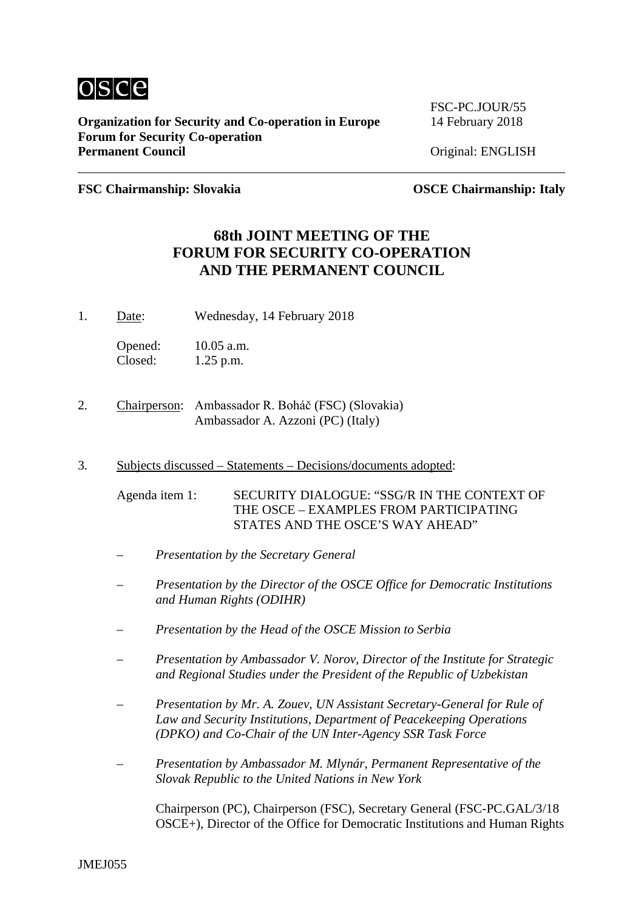

**Organization for Security and Co-operation in Europe** 14 February 2018 **Forum for Security Co-operation**

FSC-PC.JOUR/55

**Priginal: ENGLISH** 

**FSC Chairmanship: Slovakia OSCE Chairmanship: Italy**

## **68th JOINT MEETING OF THE FORUM FOR SECURITY CO-OPERATION AND THE PERMANENT COUNCIL**

1. Date: Wednesday, 14 February 2018

Opened: 10.05 a.m. Closed: 1.25 p.m.

- 2. Chairperson: Ambassador R. Boháč (FSC) (Slovakia) Ambassador A. Azzoni (PC) (Italy)
- 3. Subjects discussed Statements Decisions/documents adopted:

Agenda item 1: SECURITY DIALOGUE: "SSG/R IN THE CONTEXT OF THE OSCE – EXAMPLES FROM PARTICIPATING STATES AND THE OSCE'S WAY AHEAD"

- *Presentation by the Secretary General*
- *Presentation by the Director of the OSCE Office for Democratic Institutions and Human Rights (ODIHR)*
- *Presentation by the Head of the OSCE Mission to Serbia*
- *Presentation by Ambassador V. Norov, Director of the Institute for Strategic and Regional Studies under the President of the Republic of Uzbekistan*
- *Presentation by Mr. A. Zouev, UN Assistant Secretary-General for Rule of Law and Security Institutions, Department of Peacekeeping Operations (DPKO) and Co-Chair of the UN Inter-Agency SSR Task Force*
- *Presentation by Ambassador M. Mlynár, Permanent Representative of the Slovak Republic to the United Nations in New York*

Chairperson (PC), Chairperson (FSC), Secretary General (FSC-PC.GAL/3/18 OSCE+), Director of the Office for Democratic Institutions and Human Rights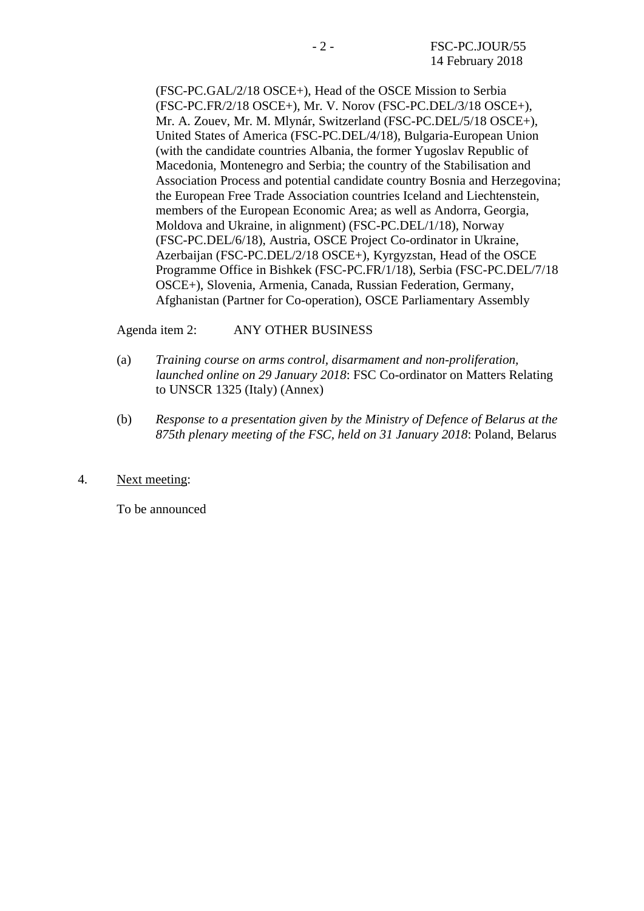(FSC-PC.GAL/2/18 OSCE+), Head of the OSCE Mission to Serbia (FSC-PC.FR/2/18 OSCE+), Mr. V. Norov (FSC-PC.DEL/3/18 OSCE+), Mr. A. Zouev, Mr. M. Mlynár, Switzerland (FSC-PC.DEL/5/18 OSCE+), United States of America (FSC-PC.DEL/4/18), Bulgaria-European Union (with the candidate countries Albania, the former Yugoslav Republic of Macedonia, Montenegro and Serbia; the country of the Stabilisation and Association Process and potential candidate country Bosnia and Herzegovina; the European Free Trade Association countries Iceland and Liechtenstein, members of the European Economic Area; as well as Andorra, Georgia, Moldova and Ukraine, in alignment) (FSC-PC.DEL/1/18), Norway (FSC-PC.DEL/6/18), Austria, OSCE Project Co-ordinator in Ukraine, Azerbaijan (FSC-PC.DEL/2/18 OSCE+), Kyrgyzstan, Head of the OSCE Programme Office in Bishkek (FSC-PC.FR/1/18), Serbia (FSC-PC.DEL/7/18 OSCE+), Slovenia, Armenia, Canada, Russian Federation, Germany, Afghanistan (Partner for Co-operation), OSCE Parliamentary Assembly

## Agenda item 2: ANY OTHER BUSINESS

- (a) *Training course on arms control, disarmament and non-proliferation, launched online on 29 January 2018*: FSC Co-ordinator on Matters Relating to UNSCR 1325 (Italy) (Annex)
- (b) *Response to a presentation given by the Ministry of Defence of Belarus at the 875th plenary meeting of the FSC, held on 31 January 2018*: Poland, Belarus
- 4. Next meeting:

To be announced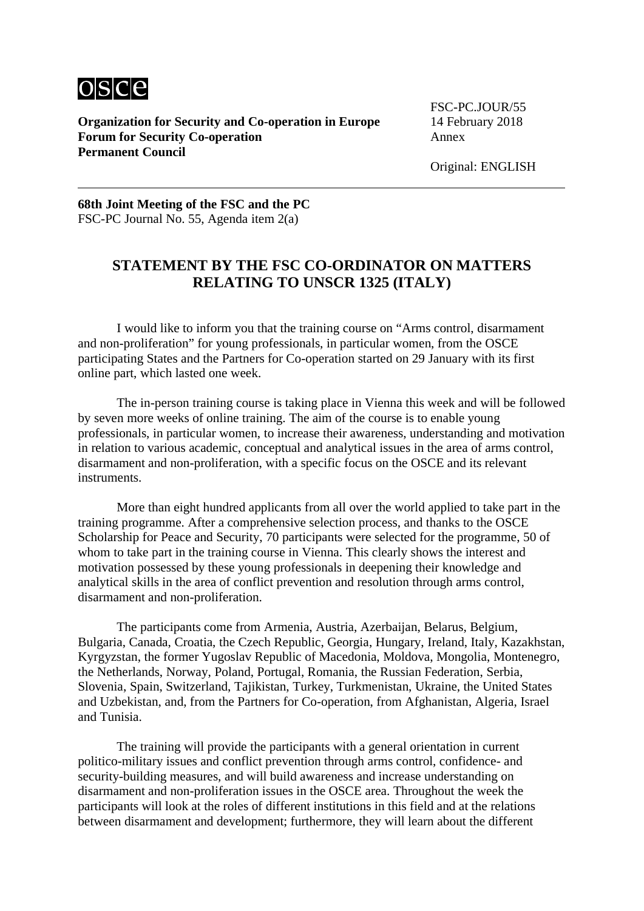

**Organization for Security and Co-operation in Europe Forum for Security Co-operation** Annex **Permanent Council**

FSC-PC.JOUR/55<br>14 February 2018

Original: ENGLISH

**68th Joint Meeting of the FSC and the PC** FSC-PC Journal No. 55, Agenda item 2(a)

## **STATEMENT BY THE FSC CO-ORDINATOR ON MATTERS RELATING TO UNSCR 1325 (ITALY)**

I would like to inform you that the training course on "Arms control, disarmament and non-proliferation" for young professionals, in particular women, from the OSCE participating States and the Partners for Co-operation started on 29 January with its first online part, which lasted one week.

The in-person training course is taking place in Vienna this week and will be followed by seven more weeks of online training. The aim of the course is to enable young professionals, in particular women, to increase their awareness, understanding and motivation in relation to various academic, conceptual and analytical issues in the area of arms control, disarmament and non-proliferation, with a specific focus on the OSCE and its relevant instruments.

More than eight hundred applicants from all over the world applied to take part in the training programme. After a comprehensive selection process, and thanks to the OSCE Scholarship for Peace and Security, 70 participants were selected for the programme, 50 of whom to take part in the training course in Vienna. This clearly shows the interest and motivation possessed by these young professionals in deepening their knowledge and analytical skills in the area of conflict prevention and resolution through arms control, disarmament and non-proliferation.

The participants come from Armenia, Austria, Azerbaijan, Belarus, Belgium, Bulgaria, Canada, Croatia, the Czech Republic, Georgia, Hungary, Ireland, Italy, Kazakhstan, Kyrgyzstan, the former Yugoslav Republic of Macedonia, Moldova, Mongolia, Montenegro, the Netherlands, Norway, Poland, Portugal, Romania, the Russian Federation, Serbia, Slovenia, Spain, Switzerland, Tajikistan, Turkey, Turkmenistan, Ukraine, the United States and Uzbekistan, and, from the Partners for Co-operation, from Afghanistan, Algeria, Israel and Tunisia.

The training will provide the participants with a general orientation in current politico-military issues and conflict prevention through arms control, confidence- and security-building measures, and will build awareness and increase understanding on disarmament and non-proliferation issues in the OSCE area. Throughout the week the participants will look at the roles of different institutions in this field and at the relations between disarmament and development; furthermore, they will learn about the different